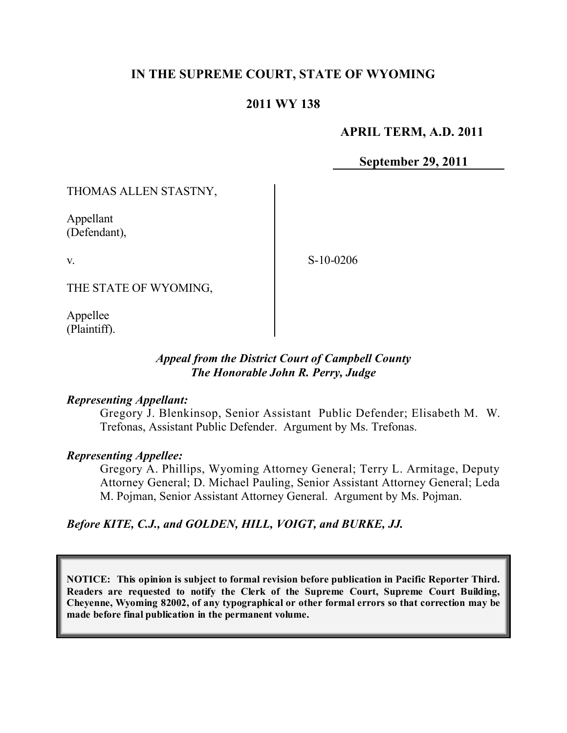# **IN THE SUPREME COURT, STATE OF WYOMING**

## **2011 WY 138**

## **APRIL TERM, A.D. 2011**

**September 29, 2011**

THOMAS ALLEN STASTNY,

Appellant (Defendant),

v.

S-10-0206

THE STATE OF WYOMING,

Appellee (Plaintiff).

## *Appeal from the District Court of Campbell County The Honorable John R. Perry, Judge*

#### *Representing Appellant:*

Gregory J. Blenkinsop, Senior Assistant Public Defender; Elisabeth M. W. Trefonas, Assistant Public Defender. Argument by Ms. Trefonas.

## *Representing Appellee:*

Gregory A. Phillips, Wyoming Attorney General; Terry L. Armitage, Deputy Attorney General; D. Michael Pauling, Senior Assistant Attorney General; Leda M. Pojman, Senior Assistant Attorney General. Argument by Ms. Pojman.

*Before KITE, C.J., and GOLDEN, HILL, VOIGT, and BURKE, JJ.*

**NOTICE: This opinion is subject to formal revision before publication in Pacific Reporter Third. Readers are requested to notify the Clerk of the Supreme Court, Supreme Court Building, Cheyenne, Wyoming 82002, of any typographical or other formal errors so that correction may be made before final publication in the permanent volume.**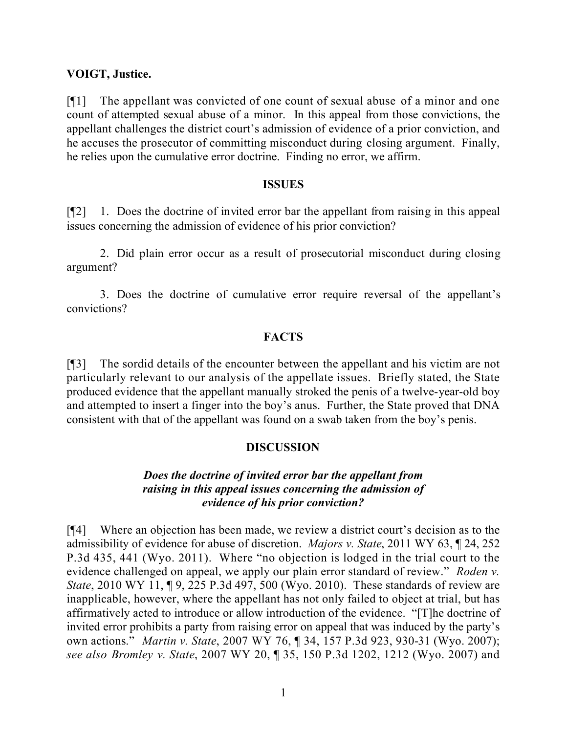### **VOIGT, Justice.**

[¶1] The appellant was convicted of one count of sexual abuse of a minor and one count of attempted sexual abuse of a minor. In this appeal from those convictions, the appellant challenges the district court's admission of evidence of a prior conviction, and he accuses the prosecutor of committing misconduct during closing argument. Finally, he relies upon the cumulative error doctrine. Finding no error, we affirm.

#### **ISSUES**

[¶2] 1. Does the doctrine of invited error bar the appellant from raising in this appeal issues concerning the admission of evidence of his prior conviction?

2. Did plain error occur as a result of prosecutorial misconduct during closing argument?

3. Does the doctrine of cumulative error require reversal of the appellant's convictions?

## **FACTS**

[¶3] The sordid details of the encounter between the appellant and his victim are not particularly relevant to our analysis of the appellate issues. Briefly stated, the State produced evidence that the appellant manually stroked the penis of a twelve-year-old boy and attempted to insert a finger into the boy's anus. Further, the State proved that DNA consistent with that of the appellant was found on a swab taken from the boy's penis.

### **DISCUSSION**

## *Does the doctrine of invited error bar the appellant from raising in this appeal issues concerning the admission of evidence of his prior conviction?*

[¶4] Where an objection has been made, we review a district court's decision as to the admissibility of evidence for abuse of discretion. *Majors v. State*, 2011 WY 63, ¶ 24, 252 P.3d 435, 441 (Wyo. 2011). Where "no objection is lodged in the trial court to the evidence challenged on appeal, we apply our plain error standard of review." *Roden v. State*, 2010 WY 11, 19, 225 P.3d 497, 500 (Wyo. 2010). These standards of review are inapplicable, however, where the appellant has not only failed to object at trial, but has affirmatively acted to introduce or allow introduction of the evidence. "[T]he doctrine of invited error prohibits a party from raising error on appeal that was induced by the party's own actions." *Martin v. State*, 2007 WY 76, ¶ 34, 157 P.3d 923, 930-31 (Wyo. 2007); *see also Bromley v. State*, 2007 WY 20, ¶ 35, 150 P.3d 1202, 1212 (Wyo. 2007) and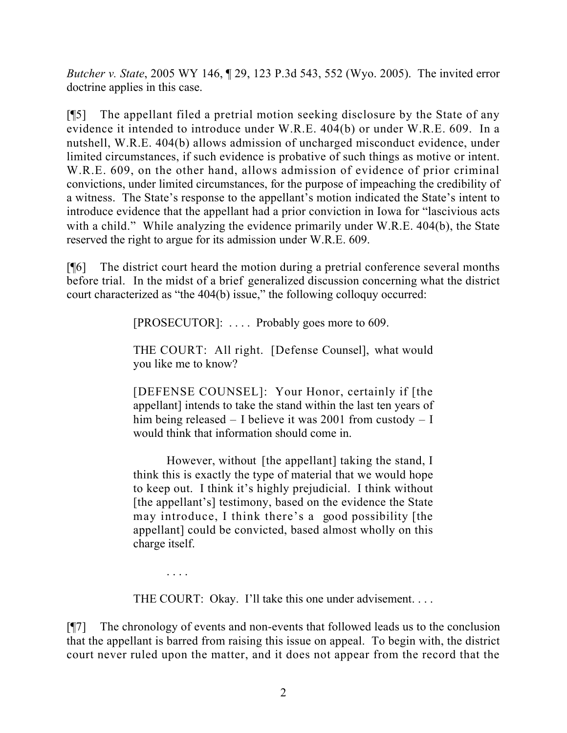*Butcher v. State*, 2005 WY 146, ¶ 29, 123 P.3d 543, 552 (Wyo. 2005). The invited error doctrine applies in this case.

[¶5] The appellant filed a pretrial motion seeking disclosure by the State of any evidence it intended to introduce under W.R.E. 404(b) or under W.R.E. 609. In a nutshell, W.R.E. 404(b) allows admission of uncharged misconduct evidence, under limited circumstances, if such evidence is probative of such things as motive or intent. W.R.E. 609, on the other hand, allows admission of evidence of prior criminal convictions, under limited circumstances, for the purpose of impeaching the credibility of a witness. The State's response to the appellant's motion indicated the State's intent to introduce evidence that the appellant had a prior conviction in Iowa for "lascivious acts with a child." While analyzing the evidence primarily under W.R.E. 404(b), the State reserved the right to argue for its admission under W.R.E. 609.

[¶6] The district court heard the motion during a pretrial conference several months before trial. In the midst of a brief generalized discussion concerning what the district court characterized as "the 404(b) issue," the following colloquy occurred:

[PROSECUTOR]: .... Probably goes more to 609.

THE COURT: All right. [Defense Counsel], what would you like me to know?

[DEFENSE COUNSEL]: Your Honor, certainly if [the appellant] intends to take the stand within the last ten years of him being released – I believe it was 2001 from custody – I would think that information should come in.

However, without [the appellant] taking the stand, I think this is exactly the type of material that we would hope to keep out. I think it's highly prejudicial. I think without [the appellant's] testimony, based on the evidence the State may introduce, I think there's a good possibility [the appellant] could be convicted, based almost wholly on this charge itself.

THE COURT: Okay. I'll take this one under advisement....

. . . .

[¶7] The chronology of events and non-events that followed leads us to the conclusion that the appellant is barred from raising this issue on appeal. To begin with, the district court never ruled upon the matter, and it does not appear from the record that the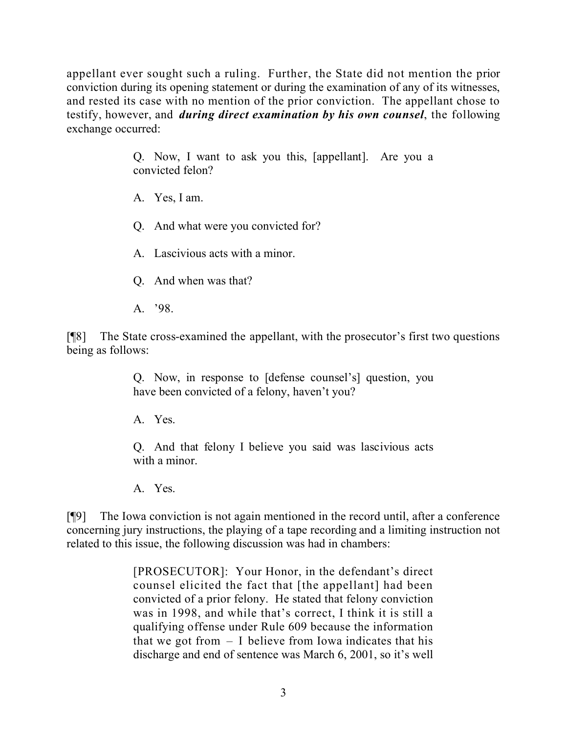appellant ever sought such a ruling. Further, the State did not mention the prior conviction during its opening statement or during the examination of any of its witnesses, and rested its case with no mention of the prior conviction. The appellant chose to testify, however, and *during direct examination by his own counsel*, the following exchange occurred:

> Q. Now, I want to ask you this, [appellant]. Are you a convicted felon?

A. Yes, I am.

Q. And what were you convicted for?

A. Lascivious acts with a minor.

Q. And when was that?

A. '98.

[¶8] The State cross-examined the appellant, with the prosecutor's first two questions being as follows:

> Q. Now, in response to [defense counsel's] question, you have been convicted of a felony, haven't you?

A. Yes.

Q. And that felony I believe you said was lascivious acts with a minor.

A. Yes.

[¶9] The Iowa conviction is not again mentioned in the record until, after a conference concerning jury instructions, the playing of a tape recording and a limiting instruction not related to this issue, the following discussion was had in chambers:

> [PROSECUTOR]: Your Honor, in the defendant's direct counsel elicited the fact that [the appellant] had been convicted of a prior felony. He stated that felony conviction was in 1998, and while that's correct, I think it is still a qualifying offense under Rule 609 because the information that we got from  $- I$  believe from Iowa indicates that his discharge and end of sentence was March 6, 2001, so it's well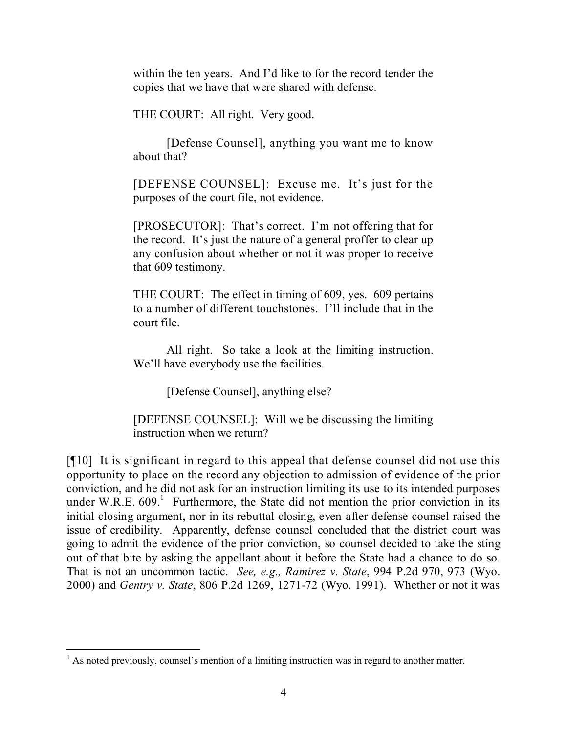within the ten years. And I'd like to for the record tender the copies that we have that were shared with defense.

THE COURT: All right. Very good.

[Defense Counsel], anything you want me to know about that?

[DEFENSE COUNSEL]: Excuse me. It's just for the purposes of the court file, not evidence.

[PROSECUTOR]: That's correct. I'm not offering that for the record. It's just the nature of a general proffer to clear up any confusion about whether or not it was proper to receive that 609 testimony.

THE COURT: The effect in timing of 609, yes. 609 pertains to a number of different touchstones. I'll include that in the court file.

All right. So take a look at the limiting instruction. We'll have everybody use the facilities.

[Defense Counsel], anything else?

[DEFENSE COUNSEL]: Will we be discussing the limiting instruction when we return?

[¶10] It is significant in regard to this appeal that defense counsel did not use this opportunity to place on the record any objection to admission of evidence of the prior conviction, and he did not ask for an instruction limiting its use to its intended purposes under W.R.E.  $609$ .<sup>1</sup> Furthermore, the State did not mention the prior conviction in its initial closing argument, nor in its rebuttal closing, even after defense counsel raised the issue of credibility. Apparently, defense counsel concluded that the district court was going to admit the evidence of the prior conviction, so counsel decided to take the sting out of that bite by asking the appellant about it before the State had a chance to do so. That is not an uncommon tactic. *See, e.g., Ramirez v. State*, 994 P.2d 970, 973 (Wyo. 2000) and *Gentry v. State*, 806 P.2d 1269, 1271-72 (Wyo. 1991). Whether or not it was

  $<sup>1</sup>$  As noted previously, counsel's mention of a limiting instruction was in regard to another matter.</sup>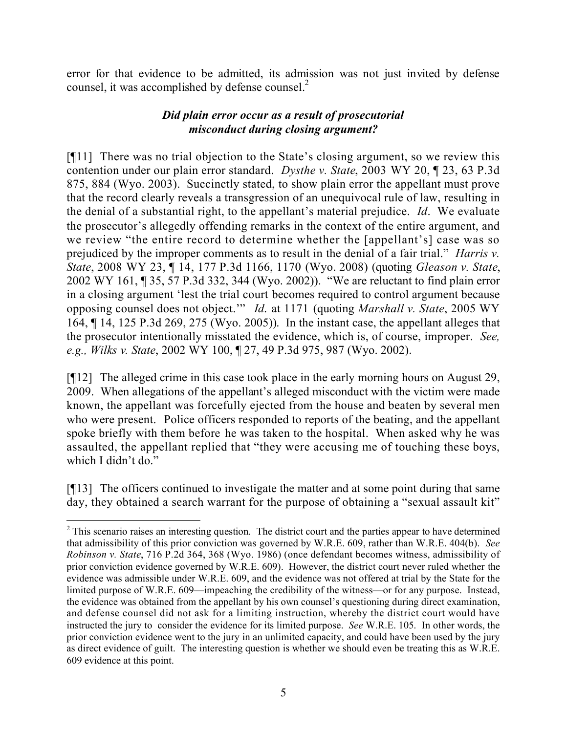error for that evidence to be admitted, its admission was not just invited by defense counsel, it was accomplished by defense counsel.<sup>2</sup>

# *Did plain error occur as a result of prosecutorial misconduct during closing argument?*

[¶11] There was no trial objection to the State's closing argument, so we review this contention under our plain error standard. *Dysthe v. State*, 2003 WY 20, ¶ 23, 63 P.3d 875, 884 (Wyo. 2003). Succinctly stated, to show plain error the appellant must prove that the record clearly reveals a transgression of an unequivocal rule of law, resulting in the denial of a substantial right, to the appellant's material prejudice. *Id*. We evaluate the prosecutor's allegedly offending remarks in the context of the entire argument, and we review "the entire record to determine whether the [appellant's] case was so prejudiced by the improper comments as to result in the denial of a fair trial." *Harris v. State*, 2008 WY 23, ¶ 14, 177 P.3d 1166, 1170 (Wyo. 2008) (quoting *Gleason v. State*, 2002 WY 161, ¶ 35, 57 P.3d 332, 344 (Wyo. 2002)). "We are reluctant to find plain error in a closing argument 'lest the trial court becomes required to control argument because opposing counsel does not object.'" *Id*. at 1171 (quoting *Marshall v. State*, 2005 WY 164, ¶ 14, 125 P.3d 269, 275 (Wyo. 2005)). In the instant case, the appellant alleges that the prosecutor intentionally misstated the evidence, which is, of course, improper. *See, e.g., Wilks v. State*, 2002 WY 100, ¶ 27, 49 P.3d 975, 987 (Wyo. 2002).

[¶12] The alleged crime in this case took place in the early morning hours on August 29, 2009. When allegations of the appellant's alleged misconduct with the victim were made known, the appellant was forcefully ejected from the house and beaten by several men who were present. Police officers responded to reports of the beating, and the appellant spoke briefly with them before he was taken to the hospital. When asked why he was assaulted, the appellant replied that "they were accusing me of touching these boys, which I didn't do."

[¶13] The officers continued to investigate the matter and at some point during that same day, they obtained a search warrant for the purpose of obtaining a "sexual assault kit"

  $2$  This scenario raises an interesting question. The district court and the parties appear to have determined that admissibility of this prior conviction was governed by W.R.E. 609, rather than W.R.E. 404(b). *See Robinson v. State*, 716 P.2d 364, 368 (Wyo. 1986) (once defendant becomes witness, admissibility of prior conviction evidence governed by W.R.E. 609). However, the district court never ruled whether the evidence was admissible under W.R.E. 609, and the evidence was not offered at trial by the State for the limited purpose of W.R.E. 609—impeaching the credibility of the witness—or for any purpose. Instead, the evidence was obtained from the appellant by his own counsel's questioning during direct examination, and defense counsel did not ask for a limiting instruction, whereby the district court would have instructed the jury to consider the evidence for its limited purpose. *See* W.R.E. 105. In other words, the prior conviction evidence went to the jury in an unlimited capacity, and could have been used by the jury as direct evidence of guilt. The interesting question is whether we should even be treating this as W.R.E. 609 evidence at this point.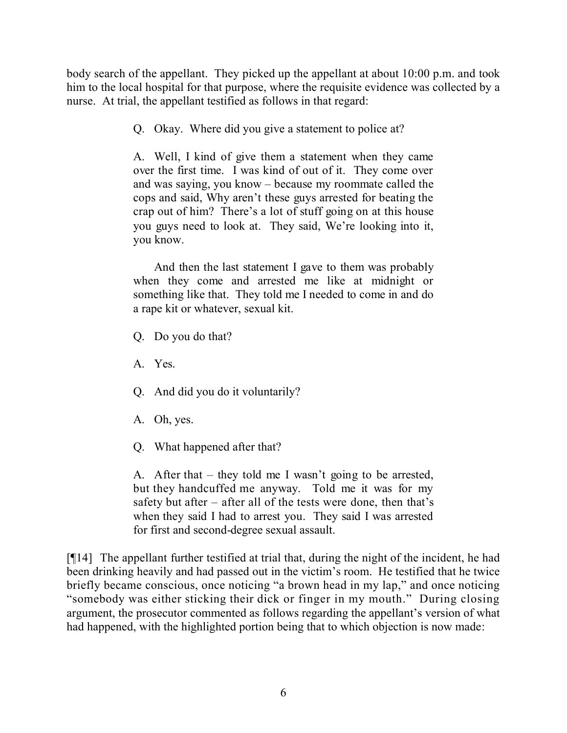body search of the appellant. They picked up the appellant at about 10:00 p.m. and took him to the local hospital for that purpose, where the requisite evidence was collected by a nurse. At trial, the appellant testified as follows in that regard:

Q. Okay. Where did you give a statement to police at?

A. Well, I kind of give them a statement when they came over the first time. I was kind of out of it. They come over and was saying, you know – because my roommate called the cops and said, Why aren't these guys arrested for beating the crap out of him? There's a lot of stuff going on at this house you guys need to look at. They said, We're looking into it, you know.

And then the last statement I gave to them was probably when they come and arrested me like at midnight or something like that. They told me I needed to come in and do a rape kit or whatever, sexual kit.

Q. Do you do that?

A. Yes.

Q. And did you do it voluntarily?

A. Oh, yes.

Q. What happened after that?

A. After that – they told me I wasn't going to be arrested, but they handcuffed me anyway. Told me it was for my safety but after – after all of the tests were done, then that's when they said I had to arrest you. They said I was arrested for first and second-degree sexual assault.

[¶14] The appellant further testified at trial that, during the night of the incident, he had been drinking heavily and had passed out in the victim's room. He testified that he twice briefly became conscious, once noticing "a brown head in my lap," and once noticing "somebody was either sticking their dick or finger in my mouth." During closing argument, the prosecutor commented as follows regarding the appellant's version of what had happened, with the highlighted portion being that to which objection is now made: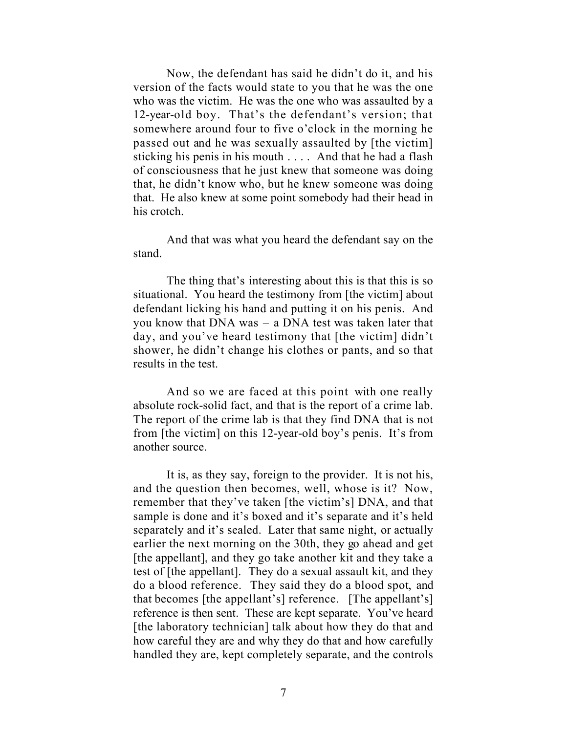Now, the defendant has said he didn't do it, and his version of the facts would state to you that he was the one who was the victim. He was the one who was assaulted by a 12-year-old boy. That's the defendant's version; that somewhere around four to five o'clock in the morning he passed out and he was sexually assaulted by [the victim] sticking his penis in his mouth . . . . And that he had a flash of consciousness that he just knew that someone was doing that, he didn't know who, but he knew someone was doing that. He also knew at some point somebody had their head in his crotch.

And that was what you heard the defendant say on the stand.

The thing that's interesting about this is that this is so situational. You heard the testimony from [the victim] about defendant licking his hand and putting it on his penis. And you know that DNA was – a DNA test was taken later that day, and you've heard testimony that [the victim] didn't shower, he didn't change his clothes or pants, and so that results in the test.

And so we are faced at this point with one really absolute rock-solid fact, and that is the report of a crime lab. The report of the crime lab is that they find DNA that is not from [the victim] on this 12-year-old boy's penis. It's from another source.

It is, as they say, foreign to the provider. It is not his, and the question then becomes, well, whose is it? Now, remember that they've taken [the victim's] DNA, and that sample is done and it's boxed and it's separate and it's held separately and it's sealed. Later that same night, or actually earlier the next morning on the 30th, they go ahead and get [the appellant], and they go take another kit and they take a test of [the appellant]. They do a sexual assault kit, and they do a blood reference. They said they do a blood spot, and that becomes [the appellant's] reference. [The appellant's] reference is then sent. These are kept separate. You've heard [the laboratory technician] talk about how they do that and how careful they are and why they do that and how carefully handled they are, kept completely separate, and the controls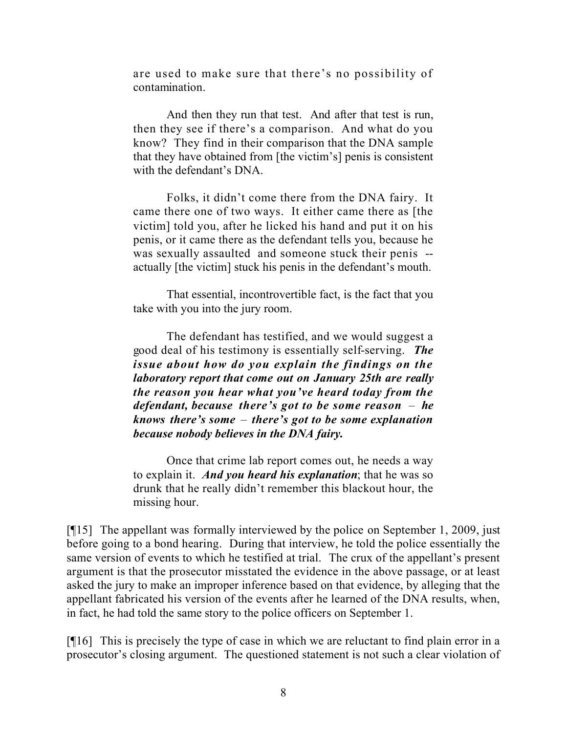are used to make sure that there's no possibility of contamination.

And then they run that test. And after that test is run, then they see if there's a comparison. And what do you know? They find in their comparison that the DNA sample that they have obtained from [the victim's] penis is consistent with the defendant's DNA.

Folks, it didn't come there from the DNA fairy. It came there one of two ways. It either came there as [the victim] told you, after he licked his hand and put it on his penis, or it came there as the defendant tells you, because he was sexually assaulted and someone stuck their penis - actually [the victim] stuck his penis in the defendant's mouth.

That essential, incontrovertible fact, is the fact that you take with you into the jury room.

The defendant has testified, and we would suggest a good deal of his testimony is essentially self-serving. *The issue about how do you explain the findings on the laboratory report that come out on January 25th are really the reason you hear what you've heard today from the defendant, because there's got to be some reason* – *he knows there's some* – *there's got to be some explanation because nobody believes in the DNA fairy.*

Once that crime lab report comes out, he needs a way to explain it. *And you heard his explanation*; that he was so drunk that he really didn't remember this blackout hour, the missing hour.

[¶15] The appellant was formally interviewed by the police on September 1, 2009, just before going to a bond hearing. During that interview, he told the police essentially the same version of events to which he testified at trial. The crux of the appellant's present argument is that the prosecutor misstated the evidence in the above passage, or at least asked the jury to make an improper inference based on that evidence, by alleging that the appellant fabricated his version of the events after he learned of the DNA results, when, in fact, he had told the same story to the police officers on September 1.

[¶16] This is precisely the type of case in which we are reluctant to find plain error in a prosecutor's closing argument. The questioned statement is not such a clear violation of